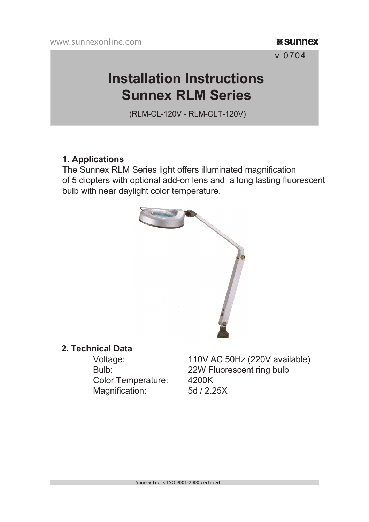#### **W** Sunnex

v 0704

# **Installation Instructions Sunnex RLM Series**

(RLM-CL-120V - RLM-CLT-120V)

#### **1. Applications**

The Sunnex RLM Series light offers illuminated magnification of 5 diopters with optional add-on lens and a long lasting fluorescent bulb with near daylight color temperature.



# **2. Technical Data**

 Color Temperature: 4200K Magnification: 5d / 2.25X

110V AC 50Hz (220V available) Bulb: 22W Fluorescent ring bulb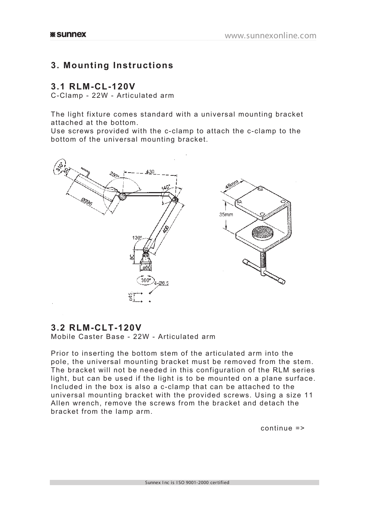## **3. Mounting Instructions**

#### **3.1 RLM-CL-120V**

C-Clamp - 22W - Articulated arm

The light fixture comes standard with a universal mounting bracket attached at the bottom.

Use screws provided with the c-clamp to attach the c-clamp to the bottom of the universal mounting bracket.



### **3.2 RLM-CLT-120V**

Mobile Caster Base - 22W - Articulated arm

Prior to inserting the bottom stem of the articulated arm into the pole, the universal mounting bracket must be removed from the stem. The bracket will not be needed in this configuration of the RLM series light, but can be used if the light is to be mounted on a plane surface. Included in the box is also a c-clamp that can be attached to the universal mounting bracket with the provided screws. Using a size 11 Allen wrench, remove the screws from the bracket and detach the bracket from the lamp arm.

continue =>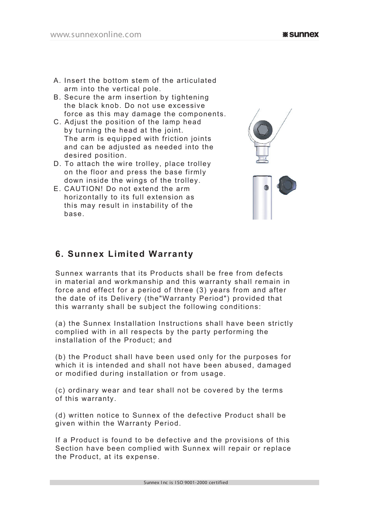- B. Secure the arm insertion by tightening the black knob. Do not use excessive force as this may damage the components.
- C. Adjust the position of the lamp head by turning the head at the joint. The arm is equipped with friction joints and can be adjusted as needed into the desired position.
- D. To attach the wire trolley, place trolley on the floor and press the base firmly down inside the wings of the trolley.
- E. CAUTION! Do not extend the arm horizontally to its full extension as this may result in instability of the base.



# **6. Sunnex Limited Warranty**

Sunnex warrants that its Products shall be free from defects in material and workmanship and this warranty shall remain in force and effect for a period of three (3) years from and after the date of its Delivery (the"Warranty Period") provided that this warranty shall be subject the following conditions:

(a) the Sunnex Installation Instructions shall have been strictly complied with in all respects by the party performing the installation of the Product; and

(b) the Product shall have been used only for the purposes for which it is intended and shall not have been abused, damaged or modified during installation or from usage.

(c) ordinary wear and tear shall not be covered by the terms of this warranty.

(d) written notice to Sunnex of the defective Product shall be given within the Warranty Period.

If a Product is found to be defective and the provisions of this Section have been complied with Sunnex will repair or replace the Product, at its expense.